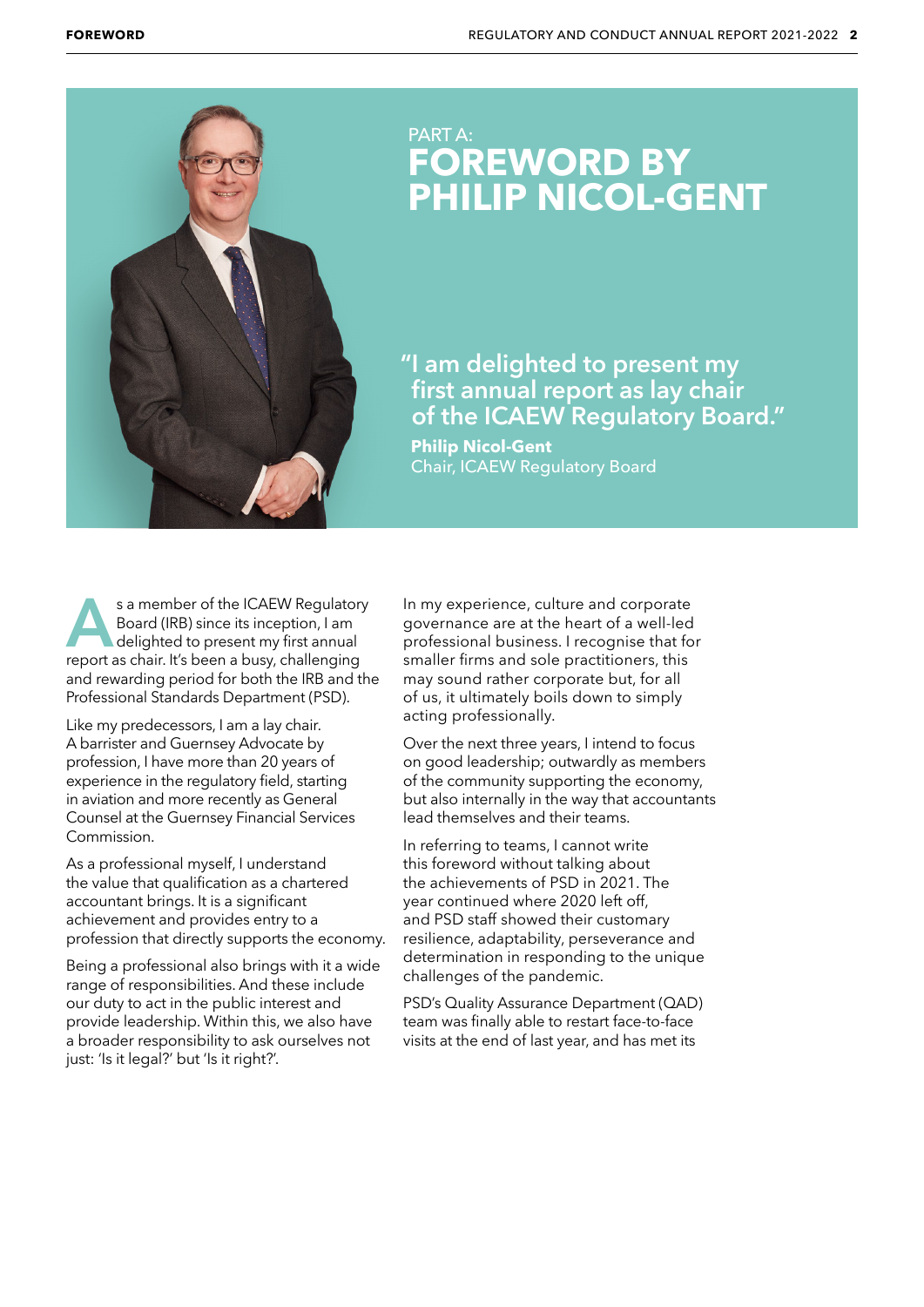

## PART A: **FOREWORD BY PHILIP NICOL-GENT**

**"I am delighted to present my first annual report as lay chair of the ICAEW Regulatory Board."** 

 **Philip Nicol-Gent** Chair, ICAEW Regulatory Board

**A** a member of the ICAEW Regulatory<br>Board (IRB) since its inception, I am<br>delighted to present my first annual<br>report as chair. It's been a busy, challenging Board (IRB) since its inception, I am delighted to present my first annual report as chair. It's been a busy, challenging and rewarding period for both the IRB and the Professional Standards Department (PSD).

Like my predecessors, I am a lay chair. A barrister and Guernsey Advocate by profession, I have more than 20 years of experience in the regulatory field, starting in aviation and more recently as General Counsel at the Guernsey Financial Services Commission.

As a professional myself, I understand the value that qualification as a chartered accountant brings. It is a significant achievement and provides entry to a profession that directly supports the economy.

Being a professional also brings with it a wide range of responsibilities. And these include our duty to act in the public interest and provide leadership. Within this, we also have a broader responsibility to ask ourselves not just: 'Is it legal?' but 'Is it right?'.

In my experience, culture and corporate governance are at the heart of a well-led professional business. I recognise that for smaller firms and sole practitioners, this may sound rather corporate but, for all of us, it ultimately boils down to simply acting professionally.

Over the next three years, I intend to focus on good leadership; outwardly as members of the community supporting the economy, but also internally in the way that accountants lead themselves and their teams.

In referring to teams, I cannot write this foreword without talking about the achievements of PSD in 2021. The year continued where 2020 left off, and PSD staff showed their customary resilience, adaptability, perseverance and determination in responding to the unique challenges of the pandemic.

PSD's Quality Assurance Department (QAD) team was finally able to restart face-to-face visits at the end of last year, and has met its